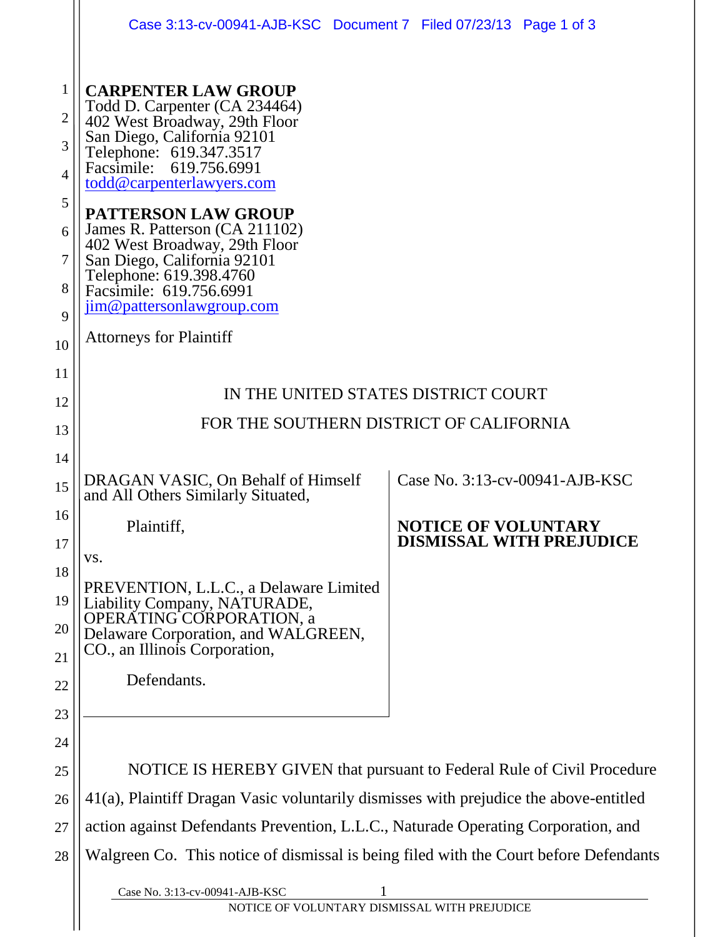|                                          | Case 3:13-cv-00941-AJB-KSC Document 7 Filed 07/23/13 Page 1 of 3                                                                                                                                                                                  |  |                            |                                 |
|------------------------------------------|---------------------------------------------------------------------------------------------------------------------------------------------------------------------------------------------------------------------------------------------------|--|----------------------------|---------------------------------|
| $\mathbf{1}$<br>$\overline{2}$<br>3<br>4 | <b>CARPENTER LAW GROUP</b><br>Todd D. Carpenter (CA 234464)<br>402 West Broadway, 29th Floor<br>San Diego, California 92101<br>Telephone: 619.347.3517<br>Facsimile: 619.756.6991<br>todd@carpenterlawyers.com                                    |  |                            |                                 |
| 5<br>6<br>7<br>8<br>9                    | <b>PATTERSON LAW GROUP</b><br>James R. Patterson (CA 211102)<br>402 West Broadway, 29th Floor<br>San Diego, California 92101<br>Telephone: 619.398.4760<br>Facsimile: 619.756.6991<br>jim@pattersonlawgroup.com<br><b>Attorneys for Plaintiff</b> |  |                            |                                 |
| 10<br>11<br>12                           | IN THE UNITED STATES DISTRICT COURT<br>FOR THE SOUTHERN DISTRICT OF CALIFORNIA                                                                                                                                                                    |  |                            |                                 |
| 13<br>14<br>15                           | Case No. 3:13-cv-00941-AJB-KSC<br>DRAGAN VASIC, On Behalf of Himself                                                                                                                                                                              |  |                            |                                 |
| 16<br>17                                 | and All Others Similarly Situated,<br>Plaintiff,                                                                                                                                                                                                  |  | <b>NOTICE OF VOLUNTARY</b> | <b>DISMISSAL WITH PREJUDICE</b> |
| 18<br>19<br>20                           | VS.<br>PREVENTION, L.L.C., a Delaware Limited<br>Liability Company, NATURADE,<br>OPERATING CORPORATION, a<br>Delaware Corporation, and WALGREEN,<br>CO., an Illinois Corporation,                                                                 |  |                            |                                 |
| 21<br>22                                 | Defendants.                                                                                                                                                                                                                                       |  |                            |                                 |
| 23<br>24                                 |                                                                                                                                                                                                                                                   |  |                            |                                 |
| 25                                       | NOTICE IS HEREBY GIVEN that pursuant to Federal Rule of Civil Procedure                                                                                                                                                                           |  |                            |                                 |
| 26                                       | 41(a), Plaintiff Dragan Vasic voluntarily dismisses with prejudice the above-entitled                                                                                                                                                             |  |                            |                                 |
| 27                                       | action against Defendants Prevention, L.L.C., Naturade Operating Corporation, and                                                                                                                                                                 |  |                            |                                 |
| 28                                       | Walgreen Co. This notice of dismissal is being filed with the Court before Defendants                                                                                                                                                             |  |                            |                                 |
|                                          | Case No. 3:13-cv-00941-AJB-KSC<br>NOTICE OF VOLUNTARY DISMISSAL WITH PREJUDICE                                                                                                                                                                    |  |                            |                                 |
|                                          |                                                                                                                                                                                                                                                   |  |                            |                                 |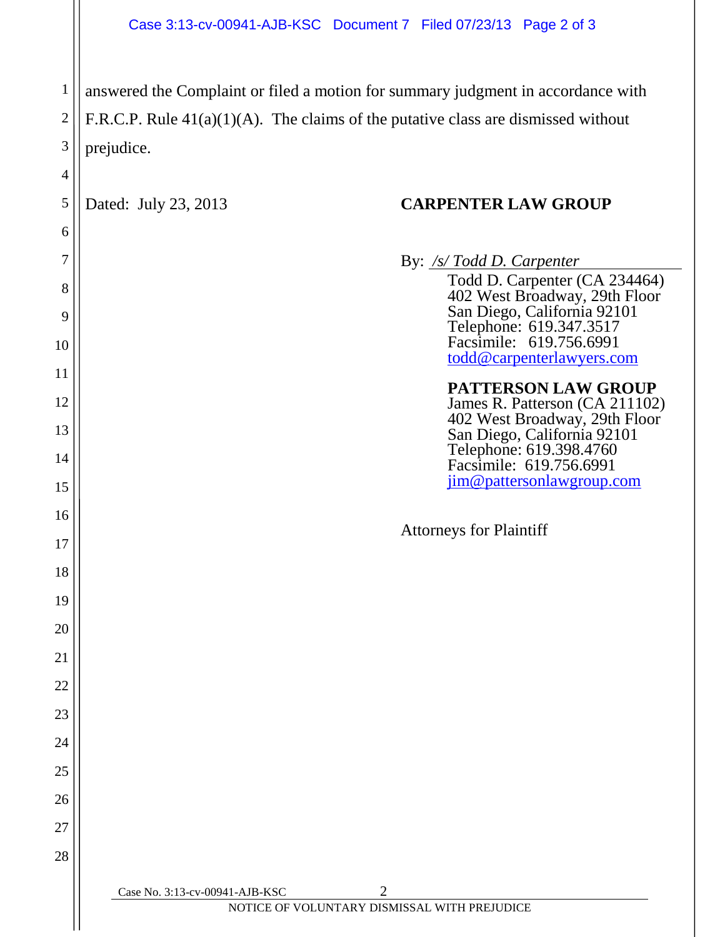1 2 3 answered the Complaint or filed a motion for summary judgment in accordance with F.R.C.P. Rule 41(a)(1)(A). The claims of the putative class are dismissed without prejudice.

4

5

6

7

8

9

10

11

12

13

14

15

16

17

18

19

20

21

22

23

24

25

26

27

28

## Dated: July 23, 2013 **CARPENTER LAW GROUP**

Case No. 3:13-cv-00941-AJB-KSC 2 NOTICE OF VOLUNTARY DISMISSAL WITH PREJUDICE By: */s/ Todd D. Carpenter* Todd D. Carpenter (CA 234464) 402 West Broadway, 29th Floor San Diego, California 92101 Telephone: 619.347.3517 Facsimile: 619.756.6991 [todd@carpenterlawyers.com](mailto:todd@carpenterlawyers.com) **PATTERSON LAW GROUP** James R. Patterson (CA 211102) 402 West Broadway, 29th Floor San Diego, California 92101 Telephone: 619.398.4760 Facsimile: 619.756.6991 [jim@pattersonlawgroup.com](mailto:jim@pattersonlawgroup.com) Attorneys for Plaintiff